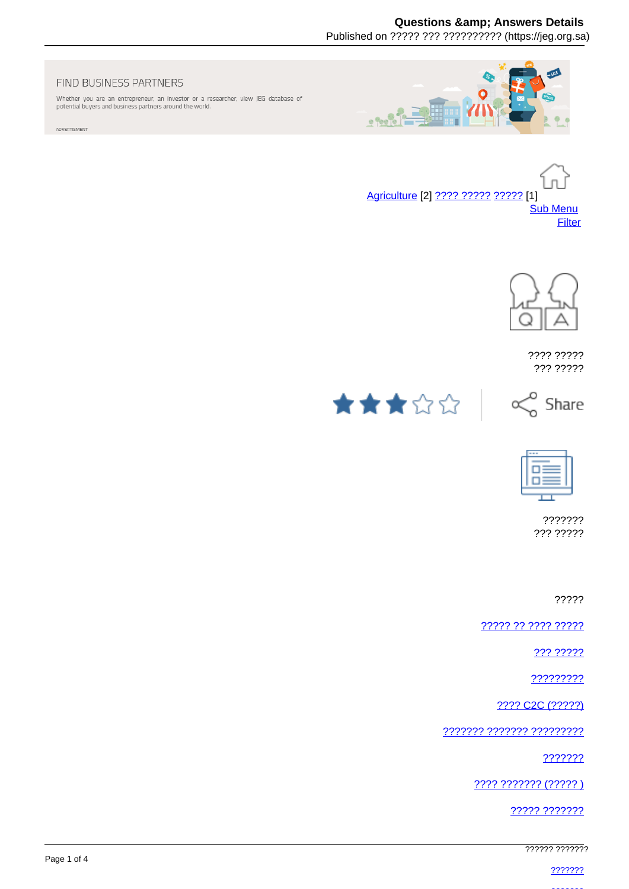## **Questions & Answers Details**

Published on ????? ??? ?????????? (https://jeg.org.sa)

## FIND BUSINESS PARTNERS

Whether you are an entrepreneur, an investor or a researcher, view JEG database of potential buyers and business partners around the world.

ADVERTISMENT



Agriculture [2] ???? ????? ????? [1] **Sub Menu Filter** 



???? ????? ??? ?????







??????? ??? ?????

?????

<u> ????? ?? ???? ?????</u>

??? ?????

?????????

???? C2C (?????)

7777777 7777777 777777777

???????

<u>???? ??????? (????? )</u>

????? ???????

777777 7777777

2222222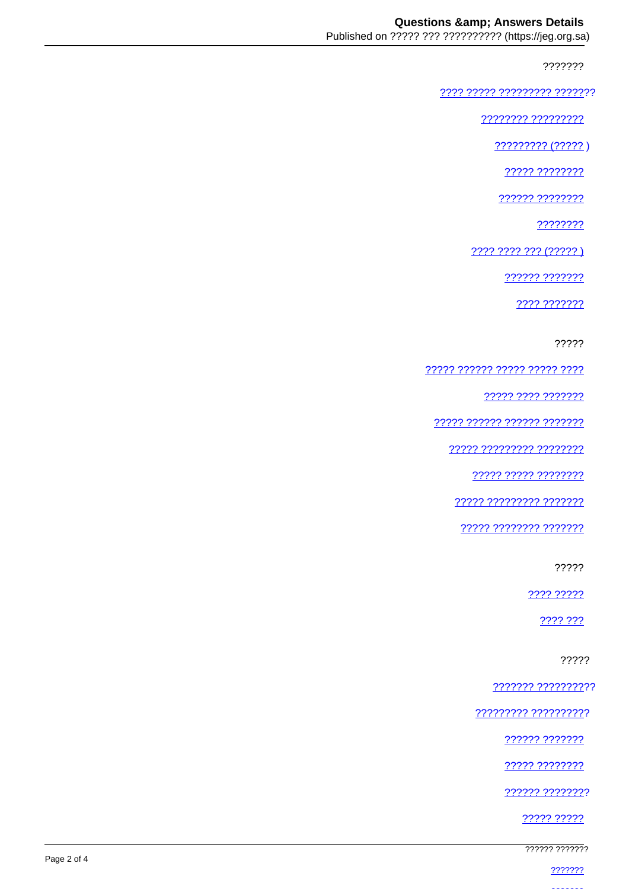???????

???? ????? ????????? ???????

<u> ???????? ?????????</u>

????????? (?????)

????? ????????

?????? ????????

????????

???? ???? ??? (????? )

?????? ???????

2222 2222222

?????

????? ?????? ????? ????? ????

77777 7777 7777777

????? ?????? ?????? ???????

77777 777777777 77777777

77777 77777 77777777

77777 777777777 7777777

????? ???????? ???????

?????

???? ?????

???? ???

?????

??????? ??????????

????????? ??????????

222222 2222222

????? ????????

?????? ????????

????? ?????

777777 7777777

2222222